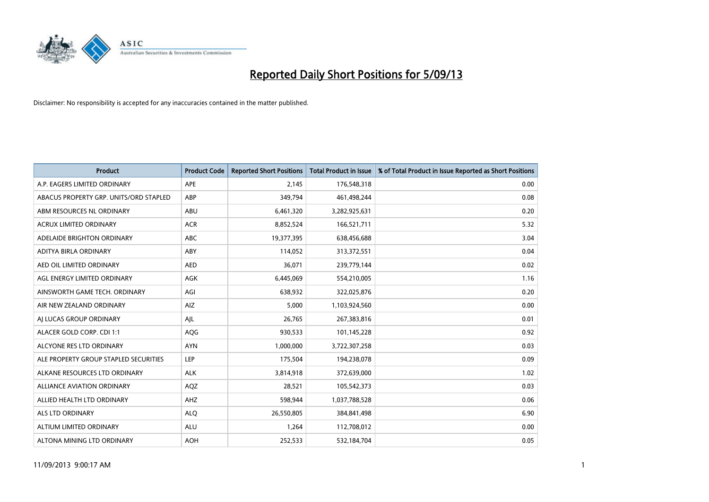

| <b>Product</b>                         | <b>Product Code</b> | <b>Reported Short Positions</b> | <b>Total Product in Issue</b> | % of Total Product in Issue Reported as Short Positions |
|----------------------------------------|---------------------|---------------------------------|-------------------------------|---------------------------------------------------------|
| A.P. EAGERS LIMITED ORDINARY           | APE                 | 2,145                           | 176,548,318                   | 0.00                                                    |
| ABACUS PROPERTY GRP. UNITS/ORD STAPLED | ABP                 | 349,794                         | 461,498,244                   | 0.08                                                    |
| ABM RESOURCES NL ORDINARY              | ABU                 | 6,461,320                       | 3,282,925,631                 | 0.20                                                    |
| ACRUX LIMITED ORDINARY                 | <b>ACR</b>          | 8,852,524                       | 166,521,711                   | 5.32                                                    |
| ADELAIDE BRIGHTON ORDINARY             | <b>ABC</b>          | 19,377,395                      | 638,456,688                   | 3.04                                                    |
| ADITYA BIRLA ORDINARY                  | ABY                 | 114,052                         | 313,372,551                   | 0.04                                                    |
| AED OIL LIMITED ORDINARY               | <b>AED</b>          | 36,071                          | 239,779,144                   | 0.02                                                    |
| AGL ENERGY LIMITED ORDINARY            | AGK                 | 6,445,069                       | 554,210,005                   | 1.16                                                    |
| AINSWORTH GAME TECH. ORDINARY          | AGI                 | 638,932                         | 322,025,876                   | 0.20                                                    |
| AIR NEW ZEALAND ORDINARY               | AIZ                 | 5,000                           | 1,103,924,560                 | 0.00                                                    |
| AJ LUCAS GROUP ORDINARY                | AJL                 | 26,765                          | 267,383,816                   | 0.01                                                    |
| ALACER GOLD CORP. CDI 1:1              | AQG                 | 930,533                         | 101,145,228                   | 0.92                                                    |
| ALCYONE RES LTD ORDINARY               | <b>AYN</b>          | 1,000,000                       | 3,722,307,258                 | 0.03                                                    |
| ALE PROPERTY GROUP STAPLED SECURITIES  | LEP                 | 175,504                         | 194,238,078                   | 0.09                                                    |
| ALKANE RESOURCES LTD ORDINARY          | <b>ALK</b>          | 3,814,918                       | 372,639,000                   | 1.02                                                    |
| ALLIANCE AVIATION ORDINARY             | AQZ                 | 28,521                          | 105,542,373                   | 0.03                                                    |
| ALLIED HEALTH LTD ORDINARY             | AHZ                 | 598,944                         | 1,037,788,528                 | 0.06                                                    |
| <b>ALS LTD ORDINARY</b>                | <b>ALQ</b>          | 26,550,805                      | 384,841,498                   | 6.90                                                    |
| <b>ALTIUM LIMITED ORDINARY</b>         | <b>ALU</b>          | 1,264                           | 112,708,012                   | 0.00                                                    |
| ALTONA MINING LTD ORDINARY             | <b>AOH</b>          | 252,533                         | 532,184,704                   | 0.05                                                    |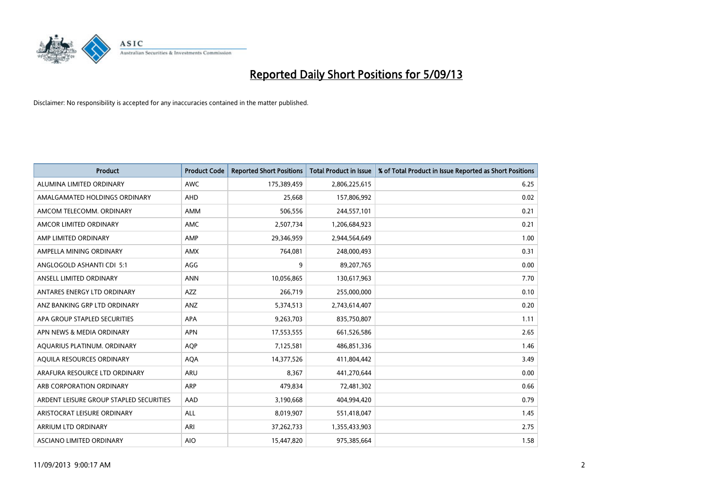

| <b>Product</b>                          | <b>Product Code</b> | <b>Reported Short Positions</b> | <b>Total Product in Issue</b> | % of Total Product in Issue Reported as Short Positions |
|-----------------------------------------|---------------------|---------------------------------|-------------------------------|---------------------------------------------------------|
| ALUMINA LIMITED ORDINARY                | <b>AWC</b>          | 175,389,459                     | 2,806,225,615                 | 6.25                                                    |
| AMALGAMATED HOLDINGS ORDINARY           | <b>AHD</b>          | 25,668                          | 157,806,992                   | 0.02                                                    |
| AMCOM TELECOMM. ORDINARY                | <b>AMM</b>          | 506,556                         | 244,557,101                   | 0.21                                                    |
| AMCOR LIMITED ORDINARY                  | <b>AMC</b>          | 2,507,734                       | 1,206,684,923                 | 0.21                                                    |
| AMP LIMITED ORDINARY                    | AMP                 | 29,346,959                      | 2,944,564,649                 | 1.00                                                    |
| AMPELLA MINING ORDINARY                 | <b>AMX</b>          | 764,081                         | 248,000,493                   | 0.31                                                    |
| ANGLOGOLD ASHANTI CDI 5:1               | AGG                 | 9                               | 89,207,765                    | 0.00                                                    |
| ANSELL LIMITED ORDINARY                 | <b>ANN</b>          | 10,056,865                      | 130,617,963                   | 7.70                                                    |
| ANTARES ENERGY LTD ORDINARY             | <b>AZZ</b>          | 266,719                         | 255,000,000                   | 0.10                                                    |
| ANZ BANKING GRP LTD ORDINARY            | ANZ                 | 5,374,513                       | 2,743,614,407                 | 0.20                                                    |
| APA GROUP STAPLED SECURITIES            | <b>APA</b>          | 9,263,703                       | 835,750,807                   | 1.11                                                    |
| APN NEWS & MEDIA ORDINARY               | <b>APN</b>          | 17,553,555                      | 661,526,586                   | 2.65                                                    |
| AQUARIUS PLATINUM. ORDINARY             | <b>AOP</b>          | 7,125,581                       | 486,851,336                   | 1.46                                                    |
| AQUILA RESOURCES ORDINARY               | <b>AQA</b>          | 14,377,526                      | 411,804,442                   | 3.49                                                    |
| ARAFURA RESOURCE LTD ORDINARY           | <b>ARU</b>          | 8,367                           | 441,270,644                   | 0.00                                                    |
| ARB CORPORATION ORDINARY                | <b>ARP</b>          | 479.834                         | 72,481,302                    | 0.66                                                    |
| ARDENT LEISURE GROUP STAPLED SECURITIES | AAD                 | 3,190,668                       | 404,994,420                   | 0.79                                                    |
| ARISTOCRAT LEISURE ORDINARY             | <b>ALL</b>          | 8,019,907                       | 551,418,047                   | 1.45                                                    |
| <b>ARRIUM LTD ORDINARY</b>              | ARI                 | 37,262,733                      | 1,355,433,903                 | 2.75                                                    |
| ASCIANO LIMITED ORDINARY                | <b>AIO</b>          | 15,447,820                      | 975,385,664                   | 1.58                                                    |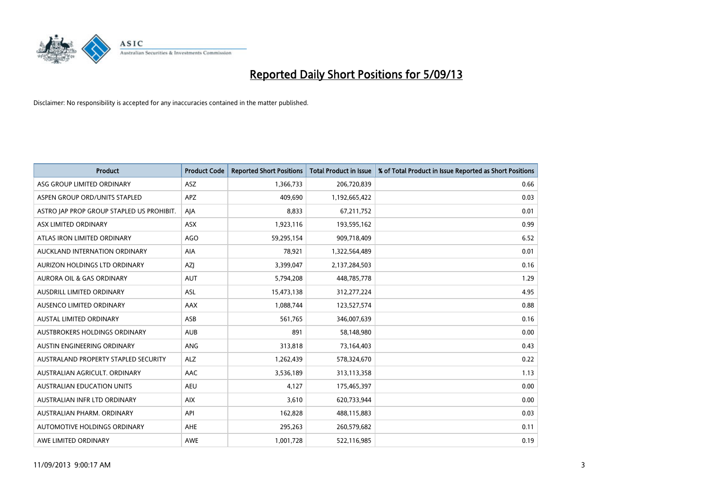

| <b>Product</b>                            | <b>Product Code</b> | <b>Reported Short Positions</b> | <b>Total Product in Issue</b> | % of Total Product in Issue Reported as Short Positions |
|-------------------------------------------|---------------------|---------------------------------|-------------------------------|---------------------------------------------------------|
| ASG GROUP LIMITED ORDINARY                | ASZ                 | 1,366,733                       | 206,720,839                   | 0.66                                                    |
| ASPEN GROUP ORD/UNITS STAPLED             | <b>APZ</b>          | 409.690                         | 1,192,665,422                 | 0.03                                                    |
| ASTRO JAP PROP GROUP STAPLED US PROHIBIT. | AJA                 | 8,833                           | 67,211,752                    | 0.01                                                    |
| ASX LIMITED ORDINARY                      | ASX                 | 1,923,116                       | 193,595,162                   | 0.99                                                    |
| ATLAS IRON LIMITED ORDINARY               | <b>AGO</b>          | 59,295,154                      | 909,718,409                   | 6.52                                                    |
| AUCKLAND INTERNATION ORDINARY             | <b>AIA</b>          | 78,921                          | 1,322,564,489                 | 0.01                                                    |
| AURIZON HOLDINGS LTD ORDINARY             | <b>AZI</b>          | 3,399,047                       | 2,137,284,503                 | 0.16                                                    |
| <b>AURORA OIL &amp; GAS ORDINARY</b>      | <b>AUT</b>          | 5,794,208                       | 448,785,778                   | 1.29                                                    |
| AUSDRILL LIMITED ORDINARY                 | ASL                 | 15,473,138                      | 312,277,224                   | 4.95                                                    |
| AUSENCO LIMITED ORDINARY                  | AAX                 | 1,088,744                       | 123,527,574                   | 0.88                                                    |
| AUSTAL LIMITED ORDINARY                   | ASB                 | 561,765                         | 346,007,639                   | 0.16                                                    |
| AUSTBROKERS HOLDINGS ORDINARY             | <b>AUB</b>          | 891                             | 58,148,980                    | 0.00                                                    |
| <b>AUSTIN ENGINEERING ORDINARY</b>        | <b>ANG</b>          | 313,818                         | 73,164,403                    | 0.43                                                    |
| AUSTRALAND PROPERTY STAPLED SECURITY      | <b>ALZ</b>          | 1,262,439                       | 578,324,670                   | 0.22                                                    |
| AUSTRALIAN AGRICULT, ORDINARY             | <b>AAC</b>          | 3,536,189                       | 313,113,358                   | 1.13                                                    |
| <b>AUSTRALIAN EDUCATION UNITS</b>         | <b>AEU</b>          | 4,127                           | 175,465,397                   | 0.00                                                    |
| AUSTRALIAN INFR LTD ORDINARY              | <b>AIX</b>          | 3,610                           | 620,733,944                   | 0.00                                                    |
| AUSTRALIAN PHARM. ORDINARY                | API                 | 162,828                         | 488,115,883                   | 0.03                                                    |
| AUTOMOTIVE HOLDINGS ORDINARY              | <b>AHE</b>          | 295,263                         | 260,579,682                   | 0.11                                                    |
| AWE LIMITED ORDINARY                      | <b>AWE</b>          | 1,001,728                       | 522,116,985                   | 0.19                                                    |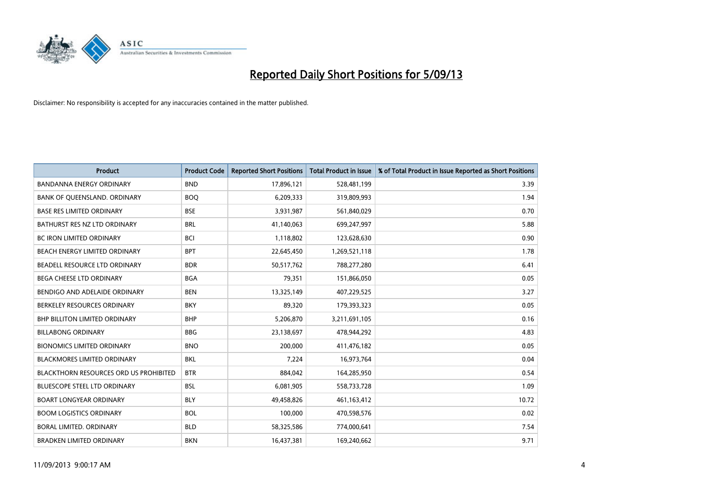

| <b>Product</b>                                | <b>Product Code</b> | <b>Reported Short Positions</b> | <b>Total Product in Issue</b> | % of Total Product in Issue Reported as Short Positions |
|-----------------------------------------------|---------------------|---------------------------------|-------------------------------|---------------------------------------------------------|
| <b>BANDANNA ENERGY ORDINARY</b>               | <b>BND</b>          | 17,896,121                      | 528,481,199                   | 3.39                                                    |
| BANK OF QUEENSLAND. ORDINARY                  | <b>BOQ</b>          | 6,209,333                       | 319,809,993                   | 1.94                                                    |
| <b>BASE RES LIMITED ORDINARY</b>              | <b>BSE</b>          | 3,931,987                       | 561,840,029                   | 0.70                                                    |
| BATHURST RES NZ LTD ORDINARY                  | <b>BRL</b>          | 41,140,063                      | 699,247,997                   | 5.88                                                    |
| <b>BC IRON LIMITED ORDINARY</b>               | <b>BCI</b>          | 1,118,802                       | 123,628,630                   | 0.90                                                    |
| BEACH ENERGY LIMITED ORDINARY                 | <b>BPT</b>          | 22,645,450                      | 1,269,521,118                 | 1.78                                                    |
| BEADELL RESOURCE LTD ORDINARY                 | <b>BDR</b>          | 50,517,762                      | 788,277,280                   | 6.41                                                    |
| BEGA CHEESE LTD ORDINARY                      | <b>BGA</b>          | 79,351                          | 151,866,050                   | 0.05                                                    |
| BENDIGO AND ADELAIDE ORDINARY                 | <b>BEN</b>          | 13,325,149                      | 407,229,525                   | 3.27                                                    |
| BERKELEY RESOURCES ORDINARY                   | <b>BKY</b>          | 89,320                          | 179,393,323                   | 0.05                                                    |
| BHP BILLITON LIMITED ORDINARY                 | <b>BHP</b>          | 5,206,870                       | 3,211,691,105                 | 0.16                                                    |
| <b>BILLABONG ORDINARY</b>                     | <b>BBG</b>          | 23,138,697                      | 478,944,292                   | 4.83                                                    |
| <b>BIONOMICS LIMITED ORDINARY</b>             | <b>BNO</b>          | 200,000                         | 411,476,182                   | 0.05                                                    |
| <b>BLACKMORES LIMITED ORDINARY</b>            | <b>BKL</b>          | 7,224                           | 16,973,764                    | 0.04                                                    |
| <b>BLACKTHORN RESOURCES ORD US PROHIBITED</b> | <b>BTR</b>          | 884,042                         | 164,285,950                   | 0.54                                                    |
| BLUESCOPE STEEL LTD ORDINARY                  | <b>BSL</b>          | 6,081,905                       | 558,733,728                   | 1.09                                                    |
| <b>BOART LONGYEAR ORDINARY</b>                | <b>BLY</b>          | 49,458,826                      | 461,163,412                   | 10.72                                                   |
| <b>BOOM LOGISTICS ORDINARY</b>                | <b>BOL</b>          | 100,000                         | 470,598,576                   | 0.02                                                    |
| <b>BORAL LIMITED, ORDINARY</b>                | <b>BLD</b>          | 58,325,586                      | 774,000,641                   | 7.54                                                    |
| <b>BRADKEN LIMITED ORDINARY</b>               | <b>BKN</b>          | 16,437,381                      | 169,240,662                   | 9.71                                                    |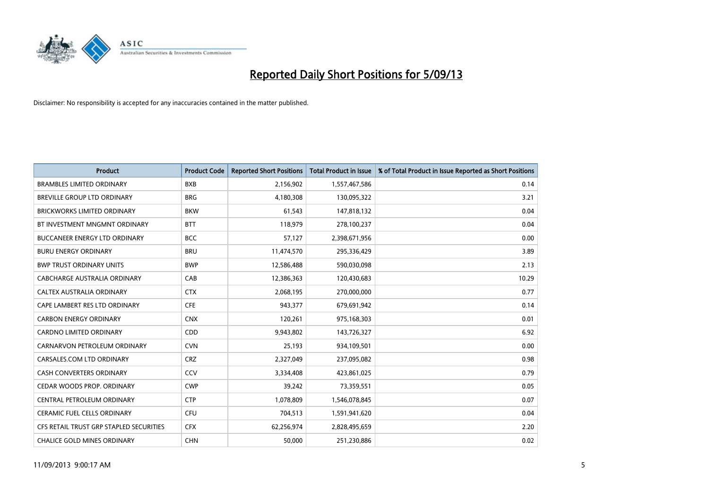

| <b>Product</b>                          | <b>Product Code</b> | <b>Reported Short Positions</b> | <b>Total Product in Issue</b> | % of Total Product in Issue Reported as Short Positions |
|-----------------------------------------|---------------------|---------------------------------|-------------------------------|---------------------------------------------------------|
| <b>BRAMBLES LIMITED ORDINARY</b>        | <b>BXB</b>          | 2,156,902                       | 1,557,467,586                 | 0.14                                                    |
| <b>BREVILLE GROUP LTD ORDINARY</b>      | <b>BRG</b>          | 4,180,308                       | 130,095,322                   | 3.21                                                    |
| <b>BRICKWORKS LIMITED ORDINARY</b>      | <b>BKW</b>          | 61,543                          | 147,818,132                   | 0.04                                                    |
| BT INVESTMENT MNGMNT ORDINARY           | <b>BTT</b>          | 118,979                         | 278,100,237                   | 0.04                                                    |
| <b>BUCCANEER ENERGY LTD ORDINARY</b>    | <b>BCC</b>          | 57,127                          | 2,398,671,956                 | 0.00                                                    |
| <b>BURU ENERGY ORDINARY</b>             | <b>BRU</b>          | 11,474,570                      | 295,336,429                   | 3.89                                                    |
| <b>BWP TRUST ORDINARY UNITS</b>         | <b>BWP</b>          | 12,586,488                      | 590,030,098                   | 2.13                                                    |
| CABCHARGE AUSTRALIA ORDINARY            | CAB                 | 12,386,363                      | 120,430,683                   | 10.29                                                   |
| CALTEX AUSTRALIA ORDINARY               | <b>CTX</b>          | 2,068,195                       | 270,000,000                   | 0.77                                                    |
| CAPE LAMBERT RES LTD ORDINARY           | <b>CFE</b>          | 943,377                         | 679,691,942                   | 0.14                                                    |
| <b>CARBON ENERGY ORDINARY</b>           | <b>CNX</b>          | 120,261                         | 975,168,303                   | 0.01                                                    |
| <b>CARDNO LIMITED ORDINARY</b>          | <b>CDD</b>          | 9,943,802                       | 143,726,327                   | 6.92                                                    |
| CARNARVON PETROLEUM ORDINARY            | <b>CVN</b>          | 25,193                          | 934,109,501                   | 0.00                                                    |
| CARSALES.COM LTD ORDINARY               | <b>CRZ</b>          | 2,327,049                       | 237,095,082                   | 0.98                                                    |
| <b>CASH CONVERTERS ORDINARY</b>         | CCV                 | 3,334,408                       | 423,861,025                   | 0.79                                                    |
| CEDAR WOODS PROP. ORDINARY              | <b>CWP</b>          | 39,242                          | 73,359,551                    | 0.05                                                    |
| CENTRAL PETROLEUM ORDINARY              | <b>CTP</b>          | 1,078,809                       | 1,546,078,845                 | 0.07                                                    |
| CERAMIC FUEL CELLS ORDINARY             | CFU                 | 704,513                         | 1,591,941,620                 | 0.04                                                    |
| CFS RETAIL TRUST GRP STAPLED SECURITIES | <b>CFX</b>          | 62,256,974                      | 2,828,495,659                 | 2.20                                                    |
| <b>CHALICE GOLD MINES ORDINARY</b>      | <b>CHN</b>          | 50,000                          | 251,230,886                   | 0.02                                                    |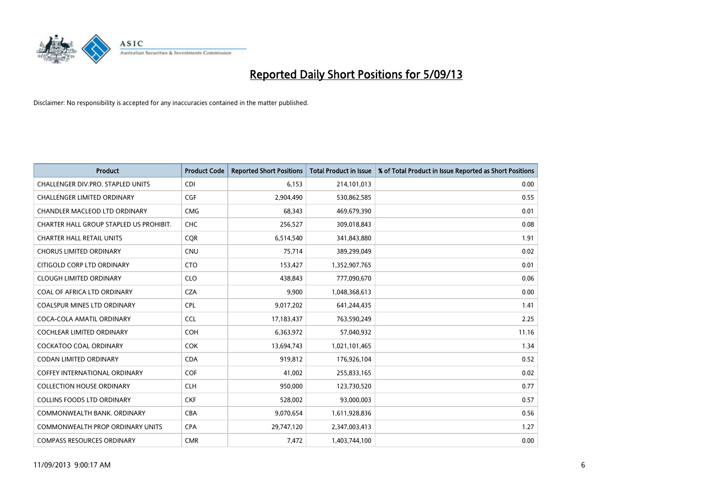

| <b>Product</b>                          | <b>Product Code</b> | <b>Reported Short Positions</b> | <b>Total Product in Issue</b> | % of Total Product in Issue Reported as Short Positions |
|-----------------------------------------|---------------------|---------------------------------|-------------------------------|---------------------------------------------------------|
| CHALLENGER DIV.PRO. STAPLED UNITS       | <b>CDI</b>          | 6,153                           | 214,101,013                   | 0.00                                                    |
| CHALLENGER LIMITED ORDINARY             | <b>CGF</b>          | 2,904,490                       | 530,862,585                   | 0.55                                                    |
| CHANDLER MACLEOD LTD ORDINARY           | <b>CMG</b>          | 68,343                          | 469,679,390                   | 0.01                                                    |
| CHARTER HALL GROUP STAPLED US PROHIBIT. | <b>CHC</b>          | 256,527                         | 309,018,843                   | 0.08                                                    |
| <b>CHARTER HALL RETAIL UNITS</b>        | <b>COR</b>          | 6,514,540                       | 341,843,880                   | 1.91                                                    |
| <b>CHORUS LIMITED ORDINARY</b>          | <b>CNU</b>          | 75,714                          | 389,299,049                   | 0.02                                                    |
| CITIGOLD CORP LTD ORDINARY              | <b>CTO</b>          | 153,427                         | 1,352,907,765                 | 0.01                                                    |
| <b>CLOUGH LIMITED ORDINARY</b>          | <b>CLO</b>          | 438,843                         | 777,090,670                   | 0.06                                                    |
| COAL OF AFRICA LTD ORDINARY             | <b>CZA</b>          | 9,900                           | 1,048,368,613                 | 0.00                                                    |
| <b>COALSPUR MINES LTD ORDINARY</b>      | <b>CPL</b>          | 9,017,202                       | 641,244,435                   | 1.41                                                    |
| COCA-COLA AMATIL ORDINARY               | <b>CCL</b>          | 17,183,437                      | 763,590,249                   | 2.25                                                    |
| COCHLEAR LIMITED ORDINARY               | <b>COH</b>          | 6,363,972                       | 57,040,932                    | 11.16                                                   |
| <b>COCKATOO COAL ORDINARY</b>           | <b>COK</b>          | 13,694,743                      | 1,021,101,465                 | 1.34                                                    |
| <b>CODAN LIMITED ORDINARY</b>           | <b>CDA</b>          | 919,812                         | 176,926,104                   | 0.52                                                    |
| <b>COFFEY INTERNATIONAL ORDINARY</b>    | <b>COF</b>          | 41,002                          | 255,833,165                   | 0.02                                                    |
| <b>COLLECTION HOUSE ORDINARY</b>        | <b>CLH</b>          | 950.000                         | 123,730,520                   | 0.77                                                    |
| <b>COLLINS FOODS LTD ORDINARY</b>       | <b>CKF</b>          | 528,002                         | 93,000,003                    | 0.57                                                    |
| COMMONWEALTH BANK, ORDINARY             | <b>CBA</b>          | 9,070,654                       | 1,611,928,836                 | 0.56                                                    |
| <b>COMMONWEALTH PROP ORDINARY UNITS</b> | <b>CPA</b>          | 29,747,120                      | 2,347,003,413                 | 1.27                                                    |
| <b>COMPASS RESOURCES ORDINARY</b>       | <b>CMR</b>          | 7,472                           | 1,403,744,100                 | 0.00                                                    |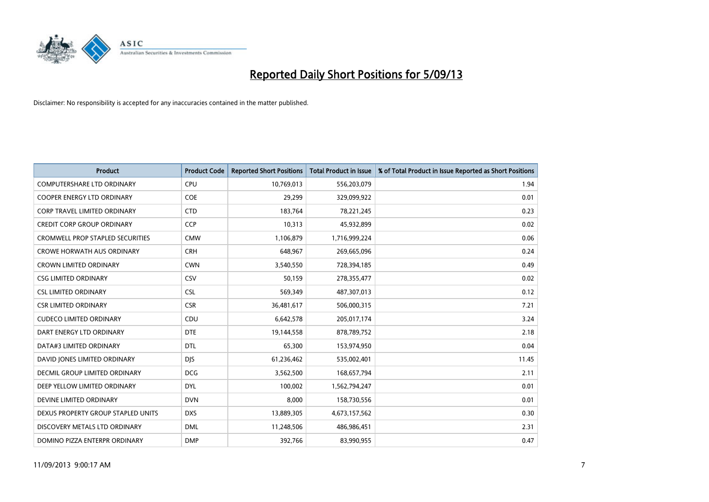

| <b>Product</b>                          | <b>Product Code</b> | <b>Reported Short Positions</b> | <b>Total Product in Issue</b> | % of Total Product in Issue Reported as Short Positions |
|-----------------------------------------|---------------------|---------------------------------|-------------------------------|---------------------------------------------------------|
| <b>COMPUTERSHARE LTD ORDINARY</b>       | <b>CPU</b>          | 10,769,013                      | 556,203,079                   | 1.94                                                    |
| COOPER ENERGY LTD ORDINARY              | <b>COE</b>          | 29,299                          | 329,099,922                   | 0.01                                                    |
| <b>CORP TRAVEL LIMITED ORDINARY</b>     | <b>CTD</b>          | 183,764                         | 78,221,245                    | 0.23                                                    |
| <b>CREDIT CORP GROUP ORDINARY</b>       | <b>CCP</b>          | 10,313                          | 45,932,899                    | 0.02                                                    |
| <b>CROMWELL PROP STAPLED SECURITIES</b> | <b>CMW</b>          | 1,106,879                       | 1,716,999,224                 | 0.06                                                    |
| <b>CROWE HORWATH AUS ORDINARY</b>       | <b>CRH</b>          | 648,967                         | 269,665,096                   | 0.24                                                    |
| <b>CROWN LIMITED ORDINARY</b>           | <b>CWN</b>          | 3,540,550                       | 728,394,185                   | 0.49                                                    |
| <b>CSG LIMITED ORDINARY</b>             | CSV                 | 50,159                          | 278,355,477                   | 0.02                                                    |
| <b>CSL LIMITED ORDINARY</b>             | <b>CSL</b>          | 569,349                         | 487,307,013                   | 0.12                                                    |
| <b>CSR LIMITED ORDINARY</b>             | <b>CSR</b>          | 36,481,617                      | 506,000,315                   | 7.21                                                    |
| <b>CUDECO LIMITED ORDINARY</b>          | CDU                 | 6,642,578                       | 205,017,174                   | 3.24                                                    |
| DART ENERGY LTD ORDINARY                | <b>DTE</b>          | 19,144,558                      | 878,789,752                   | 2.18                                                    |
| DATA#3 LIMITED ORDINARY                 | <b>DTL</b>          | 65,300                          | 153,974,950                   | 0.04                                                    |
| DAVID JONES LIMITED ORDINARY            | <b>DIS</b>          | 61,236,462                      | 535,002,401                   | 11.45                                                   |
| <b>DECMIL GROUP LIMITED ORDINARY</b>    | <b>DCG</b>          | 3,562,500                       | 168,657,794                   | 2.11                                                    |
| DEEP YELLOW LIMITED ORDINARY            | <b>DYL</b>          | 100,002                         | 1,562,794,247                 | 0.01                                                    |
| DEVINE LIMITED ORDINARY                 | <b>DVN</b>          | 8,000                           | 158,730,556                   | 0.01                                                    |
| DEXUS PROPERTY GROUP STAPLED UNITS      | <b>DXS</b>          | 13,889,305                      | 4,673,157,562                 | 0.30                                                    |
| DISCOVERY METALS LTD ORDINARY           | <b>DML</b>          | 11,248,506                      | 486,986,451                   | 2.31                                                    |
| DOMINO PIZZA ENTERPR ORDINARY           | <b>DMP</b>          | 392.766                         | 83,990,955                    | 0.47                                                    |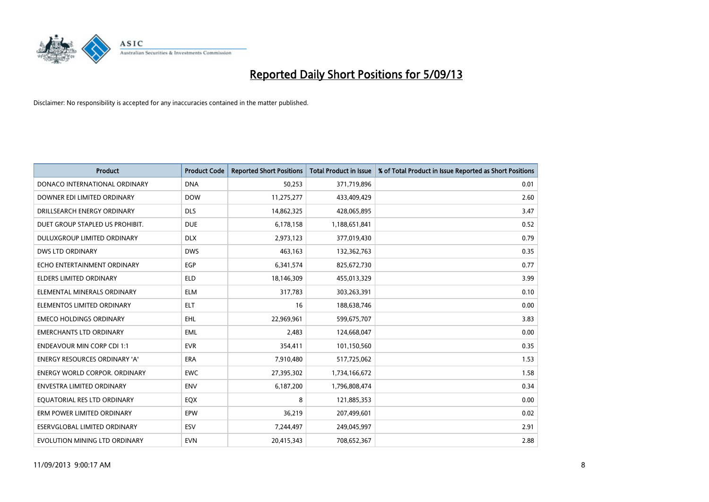

| <b>Product</b>                       | <b>Product Code</b> | <b>Reported Short Positions</b> | <b>Total Product in Issue</b> | % of Total Product in Issue Reported as Short Positions |
|--------------------------------------|---------------------|---------------------------------|-------------------------------|---------------------------------------------------------|
| DONACO INTERNATIONAL ORDINARY        | <b>DNA</b>          | 50,253                          | 371,719,896                   | 0.01                                                    |
| DOWNER EDI LIMITED ORDINARY          | <b>DOW</b>          | 11,275,277                      | 433,409,429                   | 2.60                                                    |
| DRILLSEARCH ENERGY ORDINARY          | <b>DLS</b>          | 14,862,325                      | 428,065,895                   | 3.47                                                    |
| DUET GROUP STAPLED US PROHIBIT.      | <b>DUE</b>          | 6,178,158                       | 1,188,651,841                 | 0.52                                                    |
| <b>DULUXGROUP LIMITED ORDINARY</b>   | <b>DLX</b>          | 2,973,123                       | 377,019,430                   | 0.79                                                    |
| <b>DWS LTD ORDINARY</b>              | <b>DWS</b>          | 463,163                         | 132,362,763                   | 0.35                                                    |
| ECHO ENTERTAINMENT ORDINARY          | <b>EGP</b>          | 6,341,574                       | 825,672,730                   | 0.77                                                    |
| ELDERS LIMITED ORDINARY              | <b>ELD</b>          | 18,146,309                      | 455,013,329                   | 3.99                                                    |
| ELEMENTAL MINERALS ORDINARY          | <b>ELM</b>          | 317,783                         | 303,263,391                   | 0.10                                                    |
| ELEMENTOS LIMITED ORDINARY           | <b>ELT</b>          | 16                              | 188,638,746                   | 0.00                                                    |
| <b>EMECO HOLDINGS ORDINARY</b>       | <b>EHL</b>          | 22,969,961                      | 599,675,707                   | 3.83                                                    |
| <b>EMERCHANTS LTD ORDINARY</b>       | <b>EML</b>          | 2,483                           | 124,668,047                   | 0.00                                                    |
| <b>ENDEAVOUR MIN CORP CDI 1:1</b>    | <b>EVR</b>          | 354,411                         | 101,150,560                   | 0.35                                                    |
| ENERGY RESOURCES ORDINARY 'A'        | <b>ERA</b>          | 7,910,480                       | 517,725,062                   | 1.53                                                    |
| <b>ENERGY WORLD CORPOR, ORDINARY</b> | <b>EWC</b>          | 27,395,302                      | 1,734,166,672                 | 1.58                                                    |
| ENVESTRA LIMITED ORDINARY            | <b>ENV</b>          | 6,187,200                       | 1,796,808,474                 | 0.34                                                    |
| EQUATORIAL RES LTD ORDINARY          | <b>EQX</b>          | 8                               | 121,885,353                   | 0.00                                                    |
| ERM POWER LIMITED ORDINARY           | EPW                 | 36,219                          | 207,499,601                   | 0.02                                                    |
| ESERVGLOBAL LIMITED ORDINARY         | ESV                 | 7,244,497                       | 249,045,997                   | 2.91                                                    |
| EVOLUTION MINING LTD ORDINARY        | <b>EVN</b>          | 20,415,343                      | 708,652,367                   | 2.88                                                    |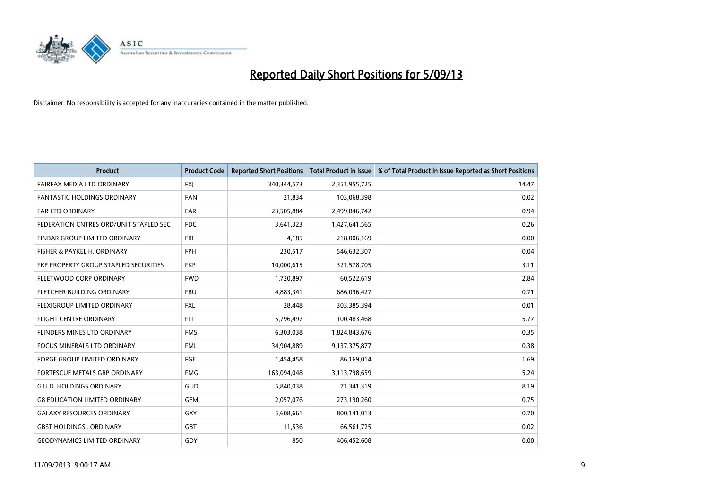

| <b>Product</b>                         | <b>Product Code</b> | <b>Reported Short Positions</b> | <b>Total Product in Issue</b> | % of Total Product in Issue Reported as Short Positions |
|----------------------------------------|---------------------|---------------------------------|-------------------------------|---------------------------------------------------------|
| FAIRFAX MEDIA LTD ORDINARY             | <b>FXJ</b>          | 340, 344, 573                   | 2,351,955,725                 | 14.47                                                   |
| <b>FANTASTIC HOLDINGS ORDINARY</b>     | <b>FAN</b>          | 21,834                          | 103,068,398                   | 0.02                                                    |
| <b>FAR LTD ORDINARY</b>                | <b>FAR</b>          | 23,505,884                      | 2,499,846,742                 | 0.94                                                    |
| FEDERATION CNTRES ORD/UNIT STAPLED SEC | <b>FDC</b>          | 3,641,323                       | 1,427,641,565                 | 0.26                                                    |
| FINBAR GROUP LIMITED ORDINARY          | <b>FRI</b>          | 4,185                           | 218,006,169                   | 0.00                                                    |
| FISHER & PAYKEL H. ORDINARY            | <b>FPH</b>          | 230,517                         | 546,632,307                   | 0.04                                                    |
| FKP PROPERTY GROUP STAPLED SECURITIES  | <b>FKP</b>          | 10,000,615                      | 321,578,705                   | 3.11                                                    |
| FLEETWOOD CORP ORDINARY                | <b>FWD</b>          | 1,720,897                       | 60,522,619                    | 2.84                                                    |
| FLETCHER BUILDING ORDINARY             | <b>FBU</b>          | 4,883,341                       | 686,096,427                   | 0.71                                                    |
| <b>FLEXIGROUP LIMITED ORDINARY</b>     | <b>FXL</b>          | 28,448                          | 303,385,394                   | 0.01                                                    |
| FLIGHT CENTRE ORDINARY                 | <b>FLT</b>          | 5,796,497                       | 100,483,468                   | 5.77                                                    |
| FLINDERS MINES LTD ORDINARY            | <b>FMS</b>          | 6,303,038                       | 1,824,843,676                 | 0.35                                                    |
| FOCUS MINERALS LTD ORDINARY            | <b>FML</b>          | 34,904,889                      | 9,137,375,877                 | 0.38                                                    |
| <b>FORGE GROUP LIMITED ORDINARY</b>    | FGE                 | 1,454,458                       | 86,169,014                    | 1.69                                                    |
| FORTESCUE METALS GRP ORDINARY          | <b>FMG</b>          | 163,094,048                     | 3,113,798,659                 | 5.24                                                    |
| <b>G.U.D. HOLDINGS ORDINARY</b>        | GUD                 | 5,840,038                       | 71,341,319                    | 8.19                                                    |
| <b>G8 EDUCATION LIMITED ORDINARY</b>   | <b>GEM</b>          | 2,057,076                       | 273,190,260                   | 0.75                                                    |
| <b>GALAXY RESOURCES ORDINARY</b>       | <b>GXY</b>          | 5,608,661                       | 800,141,013                   | 0.70                                                    |
| <b>GBST HOLDINGS ORDINARY</b>          | <b>GBT</b>          | 11,536                          | 66,561,725                    | 0.02                                                    |
| <b>GEODYNAMICS LIMITED ORDINARY</b>    | GDY                 | 850                             | 406,452,608                   | 0.00                                                    |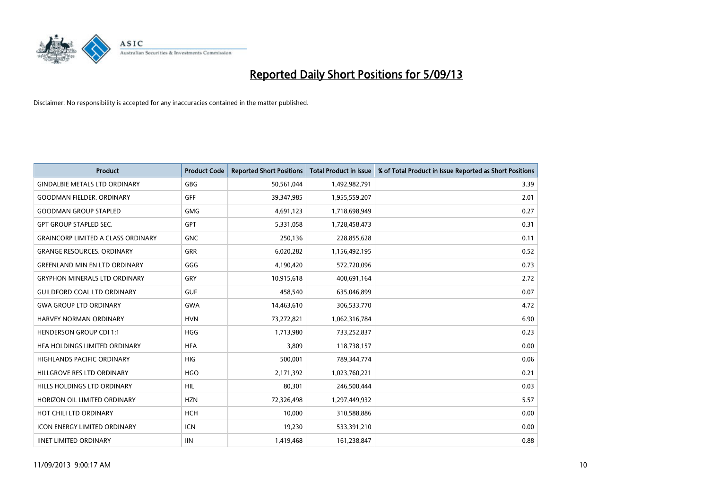

| <b>Product</b>                            | <b>Product Code</b> | <b>Reported Short Positions</b> | <b>Total Product in Issue</b> | % of Total Product in Issue Reported as Short Positions |
|-------------------------------------------|---------------------|---------------------------------|-------------------------------|---------------------------------------------------------|
| <b>GINDALBIE METALS LTD ORDINARY</b>      | <b>GBG</b>          | 50,561,044                      | 1,492,982,791                 | 3.39                                                    |
| <b>GOODMAN FIELDER, ORDINARY</b>          | <b>GFF</b>          | 39,347,985                      | 1,955,559,207                 | 2.01                                                    |
| <b>GOODMAN GROUP STAPLED</b>              | <b>GMG</b>          | 4,691,123                       | 1,718,698,949                 | 0.27                                                    |
| <b>GPT GROUP STAPLED SEC.</b>             | <b>GPT</b>          | 5,331,058                       | 1,728,458,473                 | 0.31                                                    |
| <b>GRAINCORP LIMITED A CLASS ORDINARY</b> | <b>GNC</b>          | 250,136                         | 228,855,628                   | 0.11                                                    |
| <b>GRANGE RESOURCES, ORDINARY</b>         | <b>GRR</b>          | 6,020,282                       | 1,156,492,195                 | 0.52                                                    |
| <b>GREENLAND MIN EN LTD ORDINARY</b>      | GGG                 | 4,190,420                       | 572,720,096                   | 0.73                                                    |
| <b>GRYPHON MINERALS LTD ORDINARY</b>      | GRY                 | 10,915,618                      | 400,691,164                   | 2.72                                                    |
| <b>GUILDFORD COAL LTD ORDINARY</b>        | <b>GUF</b>          | 458,540                         | 635,046,899                   | 0.07                                                    |
| <b>GWA GROUP LTD ORDINARY</b>             | <b>GWA</b>          | 14,463,610                      | 306,533,770                   | 4.72                                                    |
| HARVEY NORMAN ORDINARY                    | <b>HVN</b>          | 73,272,821                      | 1,062,316,784                 | 6.90                                                    |
| <b>HENDERSON GROUP CDI 1:1</b>            | <b>HGG</b>          | 1,713,980                       | 733,252,837                   | 0.23                                                    |
| HFA HOLDINGS LIMITED ORDINARY             | <b>HFA</b>          | 3,809                           | 118,738,157                   | 0.00                                                    |
| HIGHLANDS PACIFIC ORDINARY                | <b>HIG</b>          | 500,001                         | 789,344,774                   | 0.06                                                    |
| HILLGROVE RES LTD ORDINARY                | <b>HGO</b>          | 2,171,392                       | 1,023,760,221                 | 0.21                                                    |
| HILLS HOLDINGS LTD ORDINARY               | <b>HIL</b>          | 80,301                          | 246,500,444                   | 0.03                                                    |
| HORIZON OIL LIMITED ORDINARY              | <b>HZN</b>          | 72,326,498                      | 1,297,449,932                 | 5.57                                                    |
| HOT CHILI LTD ORDINARY                    | <b>HCH</b>          | 10,000                          | 310,588,886                   | 0.00                                                    |
| <b>ICON ENERGY LIMITED ORDINARY</b>       | <b>ICN</b>          | 19,230                          | 533,391,210                   | 0.00                                                    |
| <b>IINET LIMITED ORDINARY</b>             | <b>IIN</b>          | 1,419,468                       | 161,238,847                   | 0.88                                                    |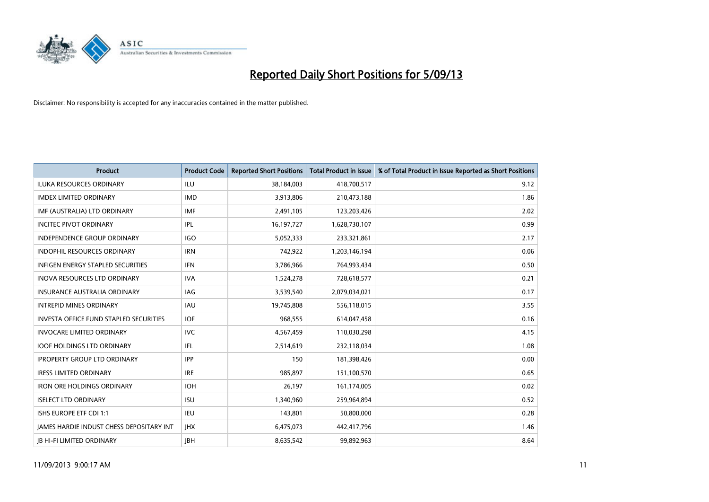

| <b>Product</b>                                  | <b>Product Code</b> | <b>Reported Short Positions</b> | <b>Total Product in Issue</b> | % of Total Product in Issue Reported as Short Positions |
|-------------------------------------------------|---------------------|---------------------------------|-------------------------------|---------------------------------------------------------|
| <b>ILUKA RESOURCES ORDINARY</b>                 | ILU                 | 38,184,003                      | 418,700,517                   | 9.12                                                    |
| <b>IMDEX LIMITED ORDINARY</b>                   | <b>IMD</b>          | 3,913,806                       | 210,473,188                   | 1.86                                                    |
| IMF (AUSTRALIA) LTD ORDINARY                    | <b>IMF</b>          | 2,491,105                       | 123,203,426                   | 2.02                                                    |
| <b>INCITEC PIVOT ORDINARY</b>                   | IPL                 | 16,197,727                      | 1,628,730,107                 | 0.99                                                    |
| <b>INDEPENDENCE GROUP ORDINARY</b>              | <b>IGO</b>          | 5,052,333                       | 233,321,861                   | 2.17                                                    |
| <b>INDOPHIL RESOURCES ORDINARY</b>              | <b>IRN</b>          | 742,922                         | 1,203,146,194                 | 0.06                                                    |
| <b>INFIGEN ENERGY STAPLED SECURITIES</b>        | <b>IFN</b>          | 3,786,966                       | 764,993,434                   | 0.50                                                    |
| <b>INOVA RESOURCES LTD ORDINARY</b>             | <b>IVA</b>          | 1,524,278                       | 728,618,577                   | 0.21                                                    |
| INSURANCE AUSTRALIA ORDINARY                    | IAG                 | 3,539,540                       | 2,079,034,021                 | 0.17                                                    |
| <b>INTREPID MINES ORDINARY</b>                  | <b>IAU</b>          | 19,745,808                      | 556,118,015                   | 3.55                                                    |
| <b>INVESTA OFFICE FUND STAPLED SECURITIES</b>   | <b>IOF</b>          | 968,555                         | 614,047,458                   | 0.16                                                    |
| <b>INVOCARE LIMITED ORDINARY</b>                | IVC                 | 4,567,459                       | 110,030,298                   | 4.15                                                    |
| <b>IOOF HOLDINGS LTD ORDINARY</b>               | <b>IFL</b>          | 2,514,619                       | 232,118,034                   | 1.08                                                    |
| <b>IPROPERTY GROUP LTD ORDINARY</b>             | <b>IPP</b>          | 150                             | 181,398,426                   | 0.00                                                    |
| <b>IRESS LIMITED ORDINARY</b>                   | <b>IRE</b>          | 985,897                         | 151,100,570                   | 0.65                                                    |
| <b>IRON ORE HOLDINGS ORDINARY</b>               | <b>IOH</b>          | 26,197                          | 161,174,005                   | 0.02                                                    |
| <b>ISELECT LTD ORDINARY</b>                     | <b>ISU</b>          | 1,340,960                       | 259,964,894                   | 0.52                                                    |
| ISHS EUROPE ETF CDI 1:1                         | IEU                 | 143,801                         | 50,800,000                    | 0.28                                                    |
| <b>JAMES HARDIE INDUST CHESS DEPOSITARY INT</b> | <b>IHX</b>          | 6,475,073                       | 442,417,796                   | 1.46                                                    |
| <b>IB HI-FI LIMITED ORDINARY</b>                | <b>IBH</b>          | 8,635,542                       | 99,892,963                    | 8.64                                                    |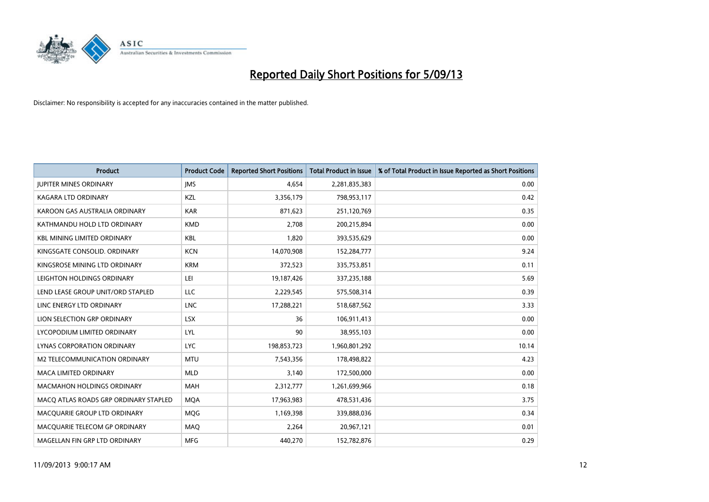

| <b>Product</b>                        | <b>Product Code</b> | <b>Reported Short Positions</b> | <b>Total Product in Issue</b> | % of Total Product in Issue Reported as Short Positions |
|---------------------------------------|---------------------|---------------------------------|-------------------------------|---------------------------------------------------------|
| <b>JUPITER MINES ORDINARY</b>         | <b>IMS</b>          | 4,654                           | 2,281,835,383                 | 0.00                                                    |
| KAGARA LTD ORDINARY                   | <b>KZL</b>          | 3,356,179                       | 798,953,117                   | 0.42                                                    |
| KAROON GAS AUSTRALIA ORDINARY         | <b>KAR</b>          | 871,623                         | 251,120,769                   | 0.35                                                    |
| KATHMANDU HOLD LTD ORDINARY           | <b>KMD</b>          | 2,708                           | 200,215,894                   | 0.00                                                    |
| <b>KBL MINING LIMITED ORDINARY</b>    | <b>KBL</b>          | 1,820                           | 393,535,629                   | 0.00                                                    |
| KINGSGATE CONSOLID. ORDINARY          | <b>KCN</b>          | 14,070,908                      | 152,284,777                   | 9.24                                                    |
| KINGSROSE MINING LTD ORDINARY         | <b>KRM</b>          | 372,523                         | 335,753,851                   | 0.11                                                    |
| LEIGHTON HOLDINGS ORDINARY            | LEI                 | 19,187,426                      | 337,235,188                   | 5.69                                                    |
| LEND LEASE GROUP UNIT/ORD STAPLED     | LLC                 | 2,229,545                       | 575,508,314                   | 0.39                                                    |
| LINC ENERGY LTD ORDINARY              | <b>LNC</b>          | 17,288,221                      | 518,687,562                   | 3.33                                                    |
| LION SELECTION GRP ORDINARY           | <b>LSX</b>          | 36                              | 106,911,413                   | 0.00                                                    |
| LYCOPODIUM LIMITED ORDINARY           | LYL                 | 90                              | 38,955,103                    | 0.00                                                    |
| LYNAS CORPORATION ORDINARY            | <b>LYC</b>          | 198,853,723                     | 1,960,801,292                 | 10.14                                                   |
| <b>M2 TELECOMMUNICATION ORDINARY</b>  | <b>MTU</b>          | 7,543,356                       | 178,498,822                   | 4.23                                                    |
| <b>MACA LIMITED ORDINARY</b>          | <b>MLD</b>          | 3,140                           | 172,500,000                   | 0.00                                                    |
| <b>MACMAHON HOLDINGS ORDINARY</b>     | <b>MAH</b>          | 2,312,777                       | 1,261,699,966                 | 0.18                                                    |
| MACO ATLAS ROADS GRP ORDINARY STAPLED | <b>MQA</b>          | 17,963,983                      | 478,531,436                   | 3.75                                                    |
| MACQUARIE GROUP LTD ORDINARY          | <b>MOG</b>          | 1,169,398                       | 339,888,036                   | 0.34                                                    |
| MACOUARIE TELECOM GP ORDINARY         | <b>MAQ</b>          | 2,264                           | 20,967,121                    | 0.01                                                    |
| MAGELLAN FIN GRP LTD ORDINARY         | <b>MFG</b>          | 440.270                         | 152,782,876                   | 0.29                                                    |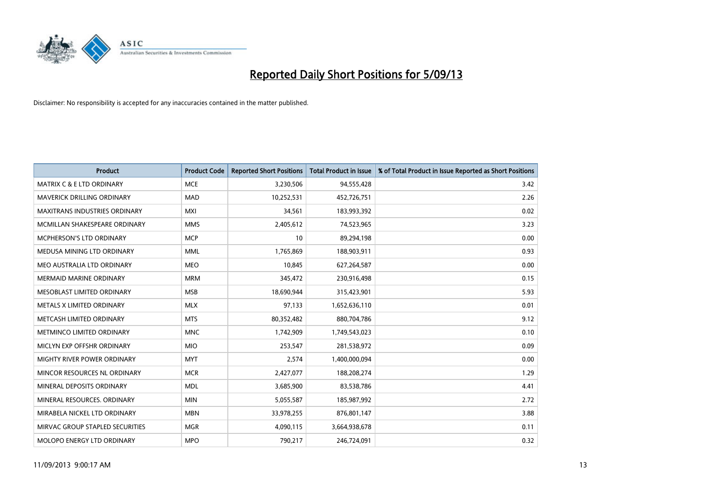

| <b>Product</b>                       | <b>Product Code</b> | <b>Reported Short Positions</b> | <b>Total Product in Issue</b> | % of Total Product in Issue Reported as Short Positions |
|--------------------------------------|---------------------|---------------------------------|-------------------------------|---------------------------------------------------------|
| <b>MATRIX C &amp; E LTD ORDINARY</b> | <b>MCE</b>          | 3,230,506                       | 94,555,428                    | 3.42                                                    |
| MAVERICK DRILLING ORDINARY           | <b>MAD</b>          | 10,252,531                      | 452,726,751                   | 2.26                                                    |
| <b>MAXITRANS INDUSTRIES ORDINARY</b> | <b>MXI</b>          | 34,561                          | 183,993,392                   | 0.02                                                    |
| MCMILLAN SHAKESPEARE ORDINARY        | <b>MMS</b>          | 2,405,612                       | 74,523,965                    | 3.23                                                    |
| <b>MCPHERSON'S LTD ORDINARY</b>      | <b>MCP</b>          | 10                              | 89,294,198                    | 0.00                                                    |
| MEDUSA MINING LTD ORDINARY           | <b>MML</b>          | 1,765,869                       | 188,903,911                   | 0.93                                                    |
| MEO AUSTRALIA LTD ORDINARY           | <b>MEO</b>          | 10,845                          | 627,264,587                   | 0.00                                                    |
| <b>MERMAID MARINE ORDINARY</b>       | <b>MRM</b>          | 345,472                         | 230,916,498                   | 0.15                                                    |
| MESOBLAST LIMITED ORDINARY           | <b>MSB</b>          | 18,690,944                      | 315,423,901                   | 5.93                                                    |
| METALS X LIMITED ORDINARY            | <b>MLX</b>          | 97,133                          | 1,652,636,110                 | 0.01                                                    |
| METCASH LIMITED ORDINARY             | <b>MTS</b>          | 80,352,482                      | 880,704,786                   | 9.12                                                    |
| METMINCO LIMITED ORDINARY            | <b>MNC</b>          | 1,742,909                       | 1,749,543,023                 | 0.10                                                    |
| MICLYN EXP OFFSHR ORDINARY           | <b>MIO</b>          | 253,547                         | 281,538,972                   | 0.09                                                    |
| MIGHTY RIVER POWER ORDINARY          | <b>MYT</b>          | 2,574                           | 1,400,000,094                 | 0.00                                                    |
| MINCOR RESOURCES NL ORDINARY         | <b>MCR</b>          | 2,427,077                       | 188,208,274                   | 1.29                                                    |
| MINERAL DEPOSITS ORDINARY            | <b>MDL</b>          | 3,685,900                       | 83,538,786                    | 4.41                                                    |
| MINERAL RESOURCES. ORDINARY          | <b>MIN</b>          | 5,055,587                       | 185,987,992                   | 2.72                                                    |
| MIRABELA NICKEL LTD ORDINARY         | <b>MBN</b>          | 33,978,255                      | 876,801,147                   | 3.88                                                    |
| MIRVAC GROUP STAPLED SECURITIES      | <b>MGR</b>          | 4,090,115                       | 3,664,938,678                 | 0.11                                                    |
| MOLOPO ENERGY LTD ORDINARY           | <b>MPO</b>          | 790,217                         | 246,724,091                   | 0.32                                                    |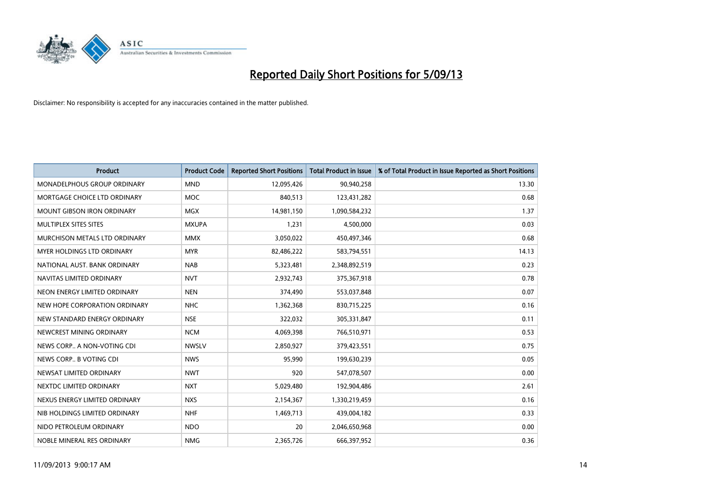

| <b>Product</b>                     | <b>Product Code</b> | <b>Reported Short Positions</b> | <b>Total Product in Issue</b> | % of Total Product in Issue Reported as Short Positions |
|------------------------------------|---------------------|---------------------------------|-------------------------------|---------------------------------------------------------|
| <b>MONADELPHOUS GROUP ORDINARY</b> | <b>MND</b>          | 12,095,426                      | 90,940,258                    | 13.30                                                   |
| MORTGAGE CHOICE LTD ORDINARY       | <b>MOC</b>          | 840,513                         | 123,431,282                   | 0.68                                                    |
| <b>MOUNT GIBSON IRON ORDINARY</b>  | <b>MGX</b>          | 14,981,150                      | 1,090,584,232                 | 1.37                                                    |
| MULTIPLEX SITES SITES              | <b>MXUPA</b>        | 1,231                           | 4,500,000                     | 0.03                                                    |
| MURCHISON METALS LTD ORDINARY      | <b>MMX</b>          | 3,050,022                       | 450,497,346                   | 0.68                                                    |
| <b>MYER HOLDINGS LTD ORDINARY</b>  | <b>MYR</b>          | 82,486,222                      | 583,794,551                   | 14.13                                                   |
| NATIONAL AUST. BANK ORDINARY       | <b>NAB</b>          | 5,323,481                       | 2,348,892,519                 | 0.23                                                    |
| NAVITAS LIMITED ORDINARY           | <b>NVT</b>          | 2,932,743                       | 375,367,918                   | 0.78                                                    |
| NEON ENERGY LIMITED ORDINARY       | <b>NEN</b>          | 374,490                         | 553,037,848                   | 0.07                                                    |
| NEW HOPE CORPORATION ORDINARY      | NHC                 | 1,362,368                       | 830,715,225                   | 0.16                                                    |
| NEW STANDARD ENERGY ORDINARY       | <b>NSE</b>          | 322,032                         | 305,331,847                   | 0.11                                                    |
| NEWCREST MINING ORDINARY           | <b>NCM</b>          | 4,069,398                       | 766,510,971                   | 0.53                                                    |
| NEWS CORP A NON-VOTING CDI         | <b>NWSLV</b>        | 2,850,927                       | 379,423,551                   | 0.75                                                    |
| NEWS CORP B VOTING CDI             | <b>NWS</b>          | 95,990                          | 199,630,239                   | 0.05                                                    |
| NEWSAT LIMITED ORDINARY            | <b>NWT</b>          | 920                             | 547,078,507                   | 0.00                                                    |
| NEXTDC LIMITED ORDINARY            | <b>NXT</b>          | 5,029,480                       | 192,904,486                   | 2.61                                                    |
| NEXUS ENERGY LIMITED ORDINARY      | <b>NXS</b>          | 2,154,367                       | 1,330,219,459                 | 0.16                                                    |
| NIB HOLDINGS LIMITED ORDINARY      | <b>NHF</b>          | 1,469,713                       | 439,004,182                   | 0.33                                                    |
| NIDO PETROLEUM ORDINARY            | <b>NDO</b>          | 20                              | 2,046,650,968                 | 0.00                                                    |
| NOBLE MINERAL RES ORDINARY         | <b>NMG</b>          | 2,365,726                       | 666,397,952                   | 0.36                                                    |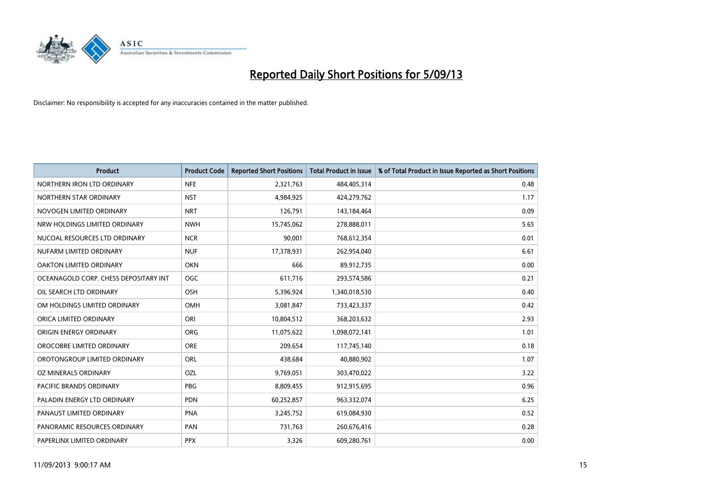

| <b>Product</b>                        | <b>Product Code</b> | <b>Reported Short Positions</b> | <b>Total Product in Issue</b> | % of Total Product in Issue Reported as Short Positions |
|---------------------------------------|---------------------|---------------------------------|-------------------------------|---------------------------------------------------------|
| NORTHERN IRON LTD ORDINARY            | <b>NFE</b>          | 2,321,763                       | 484,405,314                   | 0.48                                                    |
| NORTHERN STAR ORDINARY                | <b>NST</b>          | 4,984,925                       | 424,279,762                   | 1.17                                                    |
| NOVOGEN LIMITED ORDINARY              | <b>NRT</b>          | 126,791                         | 143,184,464                   | 0.09                                                    |
| NRW HOLDINGS LIMITED ORDINARY         | <b>NWH</b>          | 15,745,062                      | 278,888,011                   | 5.65                                                    |
| NUCOAL RESOURCES LTD ORDINARY         | <b>NCR</b>          | 90,001                          | 768,612,354                   | 0.01                                                    |
| NUFARM LIMITED ORDINARY               | <b>NUF</b>          | 17,378,931                      | 262,954,040                   | 6.61                                                    |
| OAKTON LIMITED ORDINARY               | <b>OKN</b>          | 666                             | 89,912,735                    | 0.00                                                    |
| OCEANAGOLD CORP. CHESS DEPOSITARY INT | <b>OGC</b>          | 611,716                         | 293,574,586                   | 0.21                                                    |
| OIL SEARCH LTD ORDINARY               | <b>OSH</b>          | 5,396,924                       | 1,340,018,530                 | 0.40                                                    |
| OM HOLDINGS LIMITED ORDINARY          | <b>OMH</b>          | 3,081,847                       | 733,423,337                   | 0.42                                                    |
| ORICA LIMITED ORDINARY                | ORI                 | 10,804,512                      | 368,203,632                   | 2.93                                                    |
| ORIGIN ENERGY ORDINARY                | <b>ORG</b>          | 11,075,622                      | 1,098,072,141                 | 1.01                                                    |
| OROCOBRE LIMITED ORDINARY             | <b>ORE</b>          | 209,654                         | 117,745,140                   | 0.18                                                    |
| OROTONGROUP LIMITED ORDINARY          | <b>ORL</b>          | 438,684                         | 40,880,902                    | 1.07                                                    |
| OZ MINERALS ORDINARY                  | OZL                 | 9,769,051                       | 303,470,022                   | 3.22                                                    |
| <b>PACIFIC BRANDS ORDINARY</b>        | <b>PBG</b>          | 8,809,455                       | 912,915,695                   | 0.96                                                    |
| PALADIN ENERGY LTD ORDINARY           | <b>PDN</b>          | 60,252,857                      | 963,332,074                   | 6.25                                                    |
| PANAUST LIMITED ORDINARY              | <b>PNA</b>          | 3,245,752                       | 619,084,930                   | 0.52                                                    |
| PANORAMIC RESOURCES ORDINARY          | PAN                 | 731,763                         | 260,676,416                   | 0.28                                                    |
| PAPERLINX LIMITED ORDINARY            | <b>PPX</b>          | 3,326                           | 609,280,761                   | 0.00                                                    |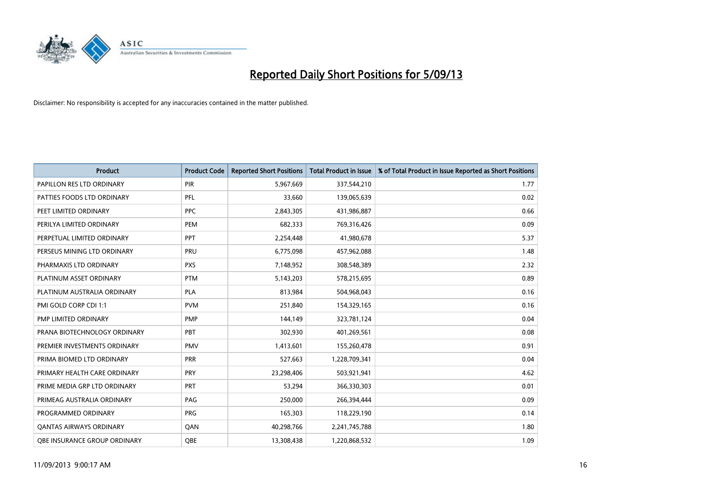

| <b>Product</b>               | <b>Product Code</b> | <b>Reported Short Positions</b> | <b>Total Product in Issue</b> | % of Total Product in Issue Reported as Short Positions |
|------------------------------|---------------------|---------------------------------|-------------------------------|---------------------------------------------------------|
| PAPILLON RES LTD ORDINARY    | <b>PIR</b>          | 5,967,669                       | 337,544,210                   | 1.77                                                    |
| PATTIES FOODS LTD ORDINARY   | PFL                 | 33,660                          | 139,065,639                   | 0.02                                                    |
| PEET LIMITED ORDINARY        | <b>PPC</b>          | 2,843,305                       | 431,986,887                   | 0.66                                                    |
| PERILYA LIMITED ORDINARY     | PEM                 | 682,333                         | 769,316,426                   | 0.09                                                    |
| PERPETUAL LIMITED ORDINARY   | PPT                 | 2,254,448                       | 41,980,678                    | 5.37                                                    |
| PERSEUS MINING LTD ORDINARY  | PRU                 | 6,775,098                       | 457,962,088                   | 1.48                                                    |
| PHARMAXIS LTD ORDINARY       | <b>PXS</b>          | 7,148,952                       | 308,548,389                   | 2.32                                                    |
| PLATINUM ASSET ORDINARY      | <b>PTM</b>          | 5,143,203                       | 578,215,695                   | 0.89                                                    |
| PLATINUM AUSTRALIA ORDINARY  | <b>PLA</b>          | 813,984                         | 504,968,043                   | 0.16                                                    |
| PMI GOLD CORP CDI 1:1        | <b>PVM</b>          | 251,840                         | 154,329,165                   | 0.16                                                    |
| PMP LIMITED ORDINARY         | PMP                 | 144,149                         | 323,781,124                   | 0.04                                                    |
| PRANA BIOTECHNOLOGY ORDINARY | PBT                 | 302,930                         | 401,269,561                   | 0.08                                                    |
| PREMIER INVESTMENTS ORDINARY | <b>PMV</b>          | 1,413,601                       | 155,260,478                   | 0.91                                                    |
| PRIMA BIOMED LTD ORDINARY    | <b>PRR</b>          | 527,663                         | 1,228,709,341                 | 0.04                                                    |
| PRIMARY HEALTH CARE ORDINARY | <b>PRY</b>          | 23,298,406                      | 503,921,941                   | 4.62                                                    |
| PRIME MEDIA GRP LTD ORDINARY | <b>PRT</b>          | 53,294                          | 366,330,303                   | 0.01                                                    |
| PRIMEAG AUSTRALIA ORDINARY   | PAG                 | 250,000                         | 266,394,444                   | 0.09                                                    |
| PROGRAMMED ORDINARY          | <b>PRG</b>          | 165,303                         | 118,229,190                   | 0.14                                                    |
| OANTAS AIRWAYS ORDINARY      | QAN                 | 40,298,766                      | 2,241,745,788                 | 1.80                                                    |
| OBE INSURANCE GROUP ORDINARY | <b>OBE</b>          | 13,308,438                      | 1,220,868,532                 | 1.09                                                    |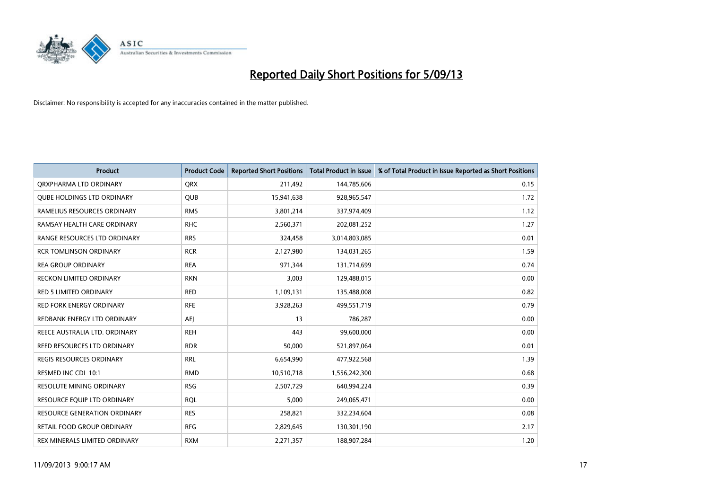

| <b>Product</b>                    | <b>Product Code</b> | <b>Reported Short Positions</b> | <b>Total Product in Issue</b> | % of Total Product in Issue Reported as Short Positions |
|-----------------------------------|---------------------|---------------------------------|-------------------------------|---------------------------------------------------------|
| ORXPHARMA LTD ORDINARY            | <b>QRX</b>          | 211,492                         | 144,785,606                   | 0.15                                                    |
| <b>QUBE HOLDINGS LTD ORDINARY</b> | QUB                 | 15,941,638                      | 928,965,547                   | 1.72                                                    |
| RAMELIUS RESOURCES ORDINARY       | <b>RMS</b>          | 3,801,214                       | 337,974,409                   | 1.12                                                    |
| RAMSAY HEALTH CARE ORDINARY       | <b>RHC</b>          | 2,560,371                       | 202,081,252                   | 1.27                                                    |
| RANGE RESOURCES LTD ORDINARY      | <b>RRS</b>          | 324,458                         | 3,014,803,085                 | 0.01                                                    |
| <b>RCR TOMLINSON ORDINARY</b>     | <b>RCR</b>          | 2,127,980                       | 134,031,265                   | 1.59                                                    |
| <b>REA GROUP ORDINARY</b>         | <b>REA</b>          | 971,344                         | 131,714,699                   | 0.74                                                    |
| RECKON LIMITED ORDINARY           | <b>RKN</b>          | 3,003                           | 129,488,015                   | 0.00                                                    |
| <b>RED 5 LIMITED ORDINARY</b>     | <b>RED</b>          | 1,109,131                       | 135,488,008                   | 0.82                                                    |
| <b>RED FORK ENERGY ORDINARY</b>   | <b>RFE</b>          | 3,928,263                       | 499,551,719                   | 0.79                                                    |
| REDBANK ENERGY LTD ORDINARY       | AEI                 | 13                              | 786,287                       | 0.00                                                    |
| REECE AUSTRALIA LTD. ORDINARY     | <b>REH</b>          | 443                             | 99,600,000                    | 0.00                                                    |
| REED RESOURCES LTD ORDINARY       | <b>RDR</b>          | 50,000                          | 521,897,064                   | 0.01                                                    |
| REGIS RESOURCES ORDINARY          | <b>RRL</b>          | 6,654,990                       | 477,922,568                   | 1.39                                                    |
| RESMED INC CDI 10:1               | <b>RMD</b>          | 10,510,718                      | 1,556,242,300                 | 0.68                                                    |
| RESOLUTE MINING ORDINARY          | <b>RSG</b>          | 2,507,729                       | 640,994,224                   | 0.39                                                    |
| RESOURCE EQUIP LTD ORDINARY       | <b>ROL</b>          | 5,000                           | 249,065,471                   | 0.00                                                    |
| RESOURCE GENERATION ORDINARY      | <b>RES</b>          | 258,821                         | 332,234,604                   | 0.08                                                    |
| RETAIL FOOD GROUP ORDINARY        | <b>RFG</b>          | 2,829,645                       | 130,301,190                   | 2.17                                                    |
| REX MINERALS LIMITED ORDINARY     | <b>RXM</b>          | 2,271,357                       | 188,907,284                   | 1.20                                                    |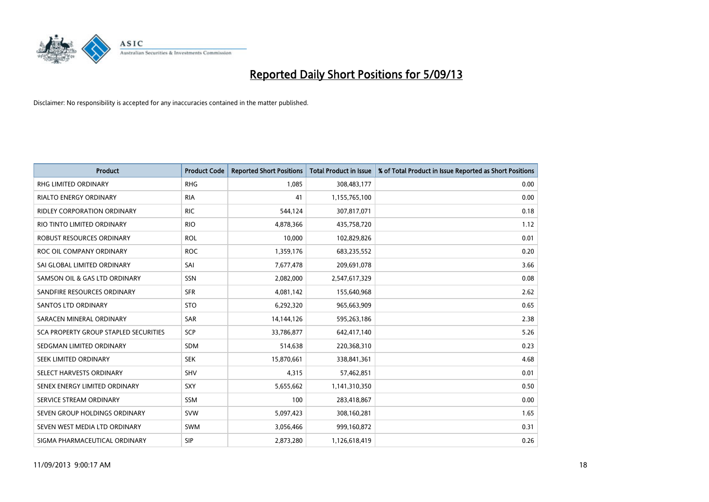

| <b>Product</b>                               | <b>Product Code</b> | <b>Reported Short Positions</b> | <b>Total Product in Issue</b> | % of Total Product in Issue Reported as Short Positions |
|----------------------------------------------|---------------------|---------------------------------|-------------------------------|---------------------------------------------------------|
| <b>RHG LIMITED ORDINARY</b>                  | <b>RHG</b>          | 1,085                           | 308,483,177                   | 0.00                                                    |
| RIALTO ENERGY ORDINARY                       | <b>RIA</b>          | 41                              | 1,155,765,100                 | 0.00                                                    |
| <b>RIDLEY CORPORATION ORDINARY</b>           | <b>RIC</b>          | 544,124                         | 307,817,071                   | 0.18                                                    |
| RIO TINTO LIMITED ORDINARY                   | <b>RIO</b>          | 4,878,366                       | 435,758,720                   | 1.12                                                    |
| ROBUST RESOURCES ORDINARY                    | <b>ROL</b>          | 10,000                          | 102,829,826                   | 0.01                                                    |
| ROC OIL COMPANY ORDINARY                     | <b>ROC</b>          | 1,359,176                       | 683,235,552                   | 0.20                                                    |
| SAI GLOBAL LIMITED ORDINARY                  | SAI                 | 7,677,478                       | 209,691,078                   | 3.66                                                    |
| SAMSON OIL & GAS LTD ORDINARY                | SSN                 | 2,082,000                       | 2,547,617,329                 | 0.08                                                    |
| SANDFIRE RESOURCES ORDINARY                  | <b>SFR</b>          | 4,081,142                       | 155,640,968                   | 2.62                                                    |
| <b>SANTOS LTD ORDINARY</b>                   | <b>STO</b>          | 6,292,320                       | 965,663,909                   | 0.65                                                    |
| SARACEN MINERAL ORDINARY                     | <b>SAR</b>          | 14,144,126                      | 595,263,186                   | 2.38                                                    |
| <b>SCA PROPERTY GROUP STAPLED SECURITIES</b> | <b>SCP</b>          | 33,786,877                      | 642,417,140                   | 5.26                                                    |
| SEDGMAN LIMITED ORDINARY                     | <b>SDM</b>          | 514,638                         | 220,368,310                   | 0.23                                                    |
| SEEK LIMITED ORDINARY                        | <b>SEK</b>          | 15,870,661                      | 338,841,361                   | 4.68                                                    |
| SELECT HARVESTS ORDINARY                     | SHV                 | 4,315                           | 57,462,851                    | 0.01                                                    |
| SENEX ENERGY LIMITED ORDINARY                | <b>SXY</b>          | 5,655,662                       | 1,141,310,350                 | 0.50                                                    |
| SERVICE STREAM ORDINARY                      | SSM                 | 100                             | 283,418,867                   | 0.00                                                    |
| SEVEN GROUP HOLDINGS ORDINARY                | <b>SVW</b>          | 5,097,423                       | 308,160,281                   | 1.65                                                    |
| SEVEN WEST MEDIA LTD ORDINARY                | <b>SWM</b>          | 3,056,466                       | 999,160,872                   | 0.31                                                    |
| SIGMA PHARMACEUTICAL ORDINARY                | <b>SIP</b>          | 2,873,280                       | 1,126,618,419                 | 0.26                                                    |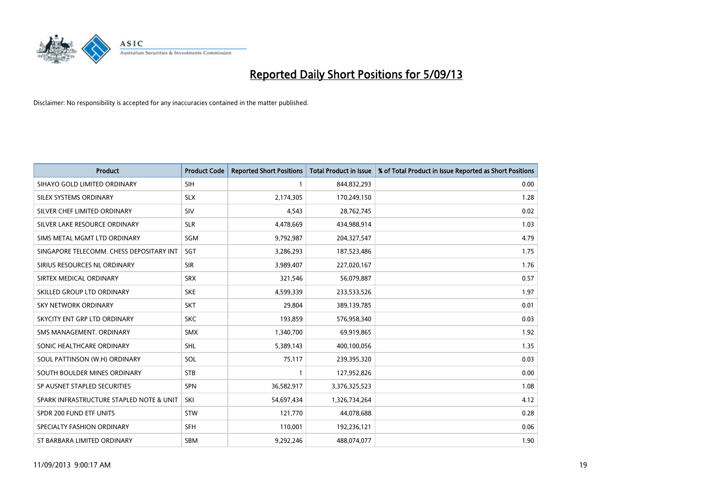

| <b>Product</b>                           | <b>Product Code</b> | <b>Reported Short Positions</b> | <b>Total Product in Issue</b> | % of Total Product in Issue Reported as Short Positions |
|------------------------------------------|---------------------|---------------------------------|-------------------------------|---------------------------------------------------------|
| SIHAYO GOLD LIMITED ORDINARY             | SIH                 |                                 | 844,832,293                   | 0.00                                                    |
| SILEX SYSTEMS ORDINARY                   | <b>SLX</b>          | 2,174,305                       | 170,249,150                   | 1.28                                                    |
| SILVER CHEF LIMITED ORDINARY             | SIV                 | 4,543                           | 28,762,745                    | 0.02                                                    |
| SILVER LAKE RESOURCE ORDINARY            | <b>SLR</b>          | 4,478,669                       | 434,988,914                   | 1.03                                                    |
| SIMS METAL MGMT LTD ORDINARY             | SGM                 | 9,792,987                       | 204,327,547                   | 4.79                                                    |
| SINGAPORE TELECOMM. CHESS DEPOSITARY INT | SGT                 | 3,286,293                       | 187,523,486                   | 1.75                                                    |
| SIRIUS RESOURCES NL ORDINARY             | <b>SIR</b>          | 3,989,407                       | 227,020,167                   | 1.76                                                    |
| SIRTEX MEDICAL ORDINARY                  | <b>SRX</b>          | 321,546                         | 56,079,887                    | 0.57                                                    |
| SKILLED GROUP LTD ORDINARY               | <b>SKE</b>          | 4,599,339                       | 233,533,526                   | 1.97                                                    |
| <b>SKY NETWORK ORDINARY</b>              | <b>SKT</b>          | 29,804                          | 389,139,785                   | 0.01                                                    |
| SKYCITY ENT GRP LTD ORDINARY             | <b>SKC</b>          | 193,859                         | 576,958,340                   | 0.03                                                    |
| SMS MANAGEMENT, ORDINARY                 | <b>SMX</b>          | 1,340,700                       | 69,919,865                    | 1.92                                                    |
| SONIC HEALTHCARE ORDINARY                | <b>SHL</b>          | 5,389,143                       | 400,100,056                   | 1.35                                                    |
| SOUL PATTINSON (W.H) ORDINARY            | SOL                 | 75,117                          | 239,395,320                   | 0.03                                                    |
| SOUTH BOULDER MINES ORDINARY             | <b>STB</b>          |                                 | 127,952,826                   | 0.00                                                    |
| SP AUSNET STAPLED SECURITIES             | <b>SPN</b>          | 36,582,917                      | 3,376,325,523                 | 1.08                                                    |
| SPARK INFRASTRUCTURE STAPLED NOTE & UNIT | SKI                 | 54,697,434                      | 1,326,734,264                 | 4.12                                                    |
| SPDR 200 FUND ETF UNITS                  | <b>STW</b>          | 121,770                         | 44,078,688                    | 0.28                                                    |
| SPECIALTY FASHION ORDINARY               | <b>SFH</b>          | 110,001                         | 192,236,121                   | 0.06                                                    |
| ST BARBARA LIMITED ORDINARY              | SBM                 | 9,292,246                       | 488,074,077                   | 1.90                                                    |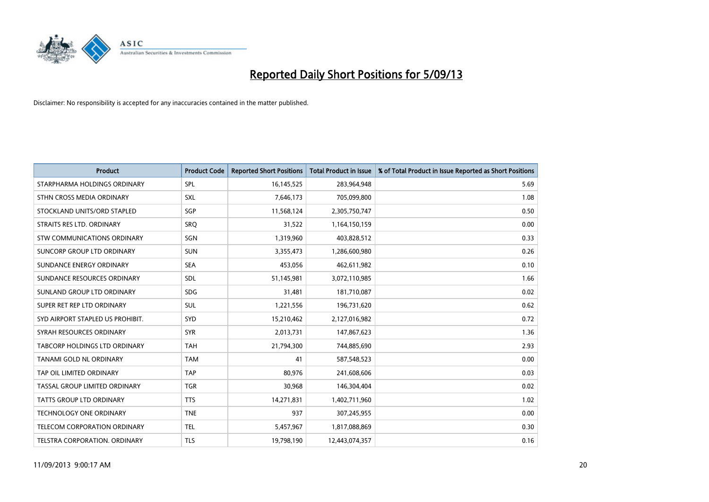

| <b>Product</b>                      | <b>Product Code</b> | <b>Reported Short Positions</b> | <b>Total Product in Issue</b> | % of Total Product in Issue Reported as Short Positions |
|-------------------------------------|---------------------|---------------------------------|-------------------------------|---------------------------------------------------------|
| STARPHARMA HOLDINGS ORDINARY        | SPL                 | 16,145,525                      | 283,964,948                   | 5.69                                                    |
| STHN CROSS MEDIA ORDINARY           | <b>SXL</b>          | 7,646,173                       | 705,099,800                   | 1.08                                                    |
| STOCKLAND UNITS/ORD STAPLED         | SGP                 | 11,568,124                      | 2,305,750,747                 | 0.50                                                    |
| STRAITS RES LTD. ORDINARY           | SRQ                 | 31,522                          | 1,164,150,159                 | 0.00                                                    |
| STW COMMUNICATIONS ORDINARY         | SGN                 | 1,319,960                       | 403,828,512                   | 0.33                                                    |
| SUNCORP GROUP LTD ORDINARY          | <b>SUN</b>          | 3,355,473                       | 1,286,600,980                 | 0.26                                                    |
| SUNDANCE ENERGY ORDINARY            | <b>SEA</b>          | 453,056                         | 462,611,982                   | 0.10                                                    |
| SUNDANCE RESOURCES ORDINARY         | <b>SDL</b>          | 51,145,981                      | 3,072,110,985                 | 1.66                                                    |
| SUNLAND GROUP LTD ORDINARY          | <b>SDG</b>          | 31,481                          | 181,710,087                   | 0.02                                                    |
| SUPER RET REP LTD ORDINARY          | <b>SUL</b>          | 1,221,556                       | 196,731,620                   | 0.62                                                    |
| SYD AIRPORT STAPLED US PROHIBIT.    | <b>SYD</b>          | 15,210,462                      | 2,127,016,982                 | 0.72                                                    |
| SYRAH RESOURCES ORDINARY            | <b>SYR</b>          | 2,013,731                       | 147,867,623                   | 1.36                                                    |
| TABCORP HOLDINGS LTD ORDINARY       | <b>TAH</b>          | 21,794,300                      | 744,885,690                   | 2.93                                                    |
| <b>TANAMI GOLD NL ORDINARY</b>      | <b>TAM</b>          | 41                              | 587,548,523                   | 0.00                                                    |
| TAP OIL LIMITED ORDINARY            | <b>TAP</b>          | 80,976                          | 241,608,606                   | 0.03                                                    |
| TASSAL GROUP LIMITED ORDINARY       | <b>TGR</b>          | 30,968                          | 146,304,404                   | 0.02                                                    |
| TATTS GROUP LTD ORDINARY            | <b>TTS</b>          | 14,271,831                      | 1,402,711,960                 | 1.02                                                    |
| TECHNOLOGY ONE ORDINARY             | <b>TNE</b>          | 937                             | 307,245,955                   | 0.00                                                    |
| <b>TELECOM CORPORATION ORDINARY</b> | <b>TEL</b>          | 5,457,967                       | 1,817,088,869                 | 0.30                                                    |
| TELSTRA CORPORATION. ORDINARY       | <b>TLS</b>          | 19,798,190                      | 12,443,074,357                | 0.16                                                    |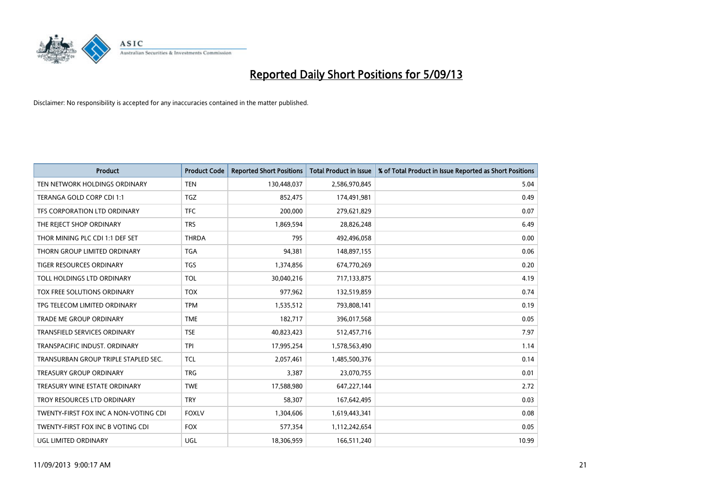

| <b>Product</b>                        | <b>Product Code</b> | <b>Reported Short Positions</b> | <b>Total Product in Issue</b> | % of Total Product in Issue Reported as Short Positions |
|---------------------------------------|---------------------|---------------------------------|-------------------------------|---------------------------------------------------------|
| TEN NETWORK HOLDINGS ORDINARY         | <b>TEN</b>          | 130,448,037                     | 2,586,970,845                 | 5.04                                                    |
| TERANGA GOLD CORP CDI 1:1             | <b>TGZ</b>          | 852,475                         | 174,491,981                   | 0.49                                                    |
| TFS CORPORATION LTD ORDINARY          | <b>TFC</b>          | 200,000                         | 279,621,829                   | 0.07                                                    |
| THE REJECT SHOP ORDINARY              | <b>TRS</b>          | 1,869,594                       | 28,826,248                    | 6.49                                                    |
| THOR MINING PLC CDI 1:1 DEF SET       | <b>THRDA</b>        | 795                             | 492,496,058                   | 0.00                                                    |
| THORN GROUP LIMITED ORDINARY          | <b>TGA</b>          | 94,381                          | 148,897,155                   | 0.06                                                    |
| <b>TIGER RESOURCES ORDINARY</b>       | <b>TGS</b>          | 1,374,856                       | 674,770,269                   | 0.20                                                    |
| TOLL HOLDINGS LTD ORDINARY            | <b>TOL</b>          | 30,040,216                      | 717,133,875                   | 4.19                                                    |
| TOX FREE SOLUTIONS ORDINARY           | <b>TOX</b>          | 977,962                         | 132,519,859                   | 0.74                                                    |
| TPG TELECOM LIMITED ORDINARY          | <b>TPM</b>          | 1,535,512                       | 793,808,141                   | 0.19                                                    |
| TRADE ME GROUP ORDINARY               | <b>TME</b>          | 182,717                         | 396,017,568                   | 0.05                                                    |
| <b>TRANSFIELD SERVICES ORDINARY</b>   | <b>TSE</b>          | 40,823,423                      | 512,457,716                   | 7.97                                                    |
| TRANSPACIFIC INDUST, ORDINARY         | <b>TPI</b>          | 17,995,254                      | 1,578,563,490                 | 1.14                                                    |
| TRANSURBAN GROUP TRIPLE STAPLED SEC.  | <b>TCL</b>          | 2,057,461                       | 1,485,500,376                 | 0.14                                                    |
| <b>TREASURY GROUP ORDINARY</b>        | <b>TRG</b>          | 3,387                           | 23,070,755                    | 0.01                                                    |
| TREASURY WINE ESTATE ORDINARY         | <b>TWE</b>          | 17,588,980                      | 647,227,144                   | 2.72                                                    |
| TROY RESOURCES LTD ORDINARY           | <b>TRY</b>          | 58,307                          | 167,642,495                   | 0.03                                                    |
| TWENTY-FIRST FOX INC A NON-VOTING CDI | <b>FOXLV</b>        | 1,304,606                       | 1,619,443,341                 | 0.08                                                    |
| TWENTY-FIRST FOX INC B VOTING CDI     | <b>FOX</b>          | 577,354                         | 1,112,242,654                 | 0.05                                                    |
| UGL LIMITED ORDINARY                  | UGL                 | 18,306,959                      | 166,511,240                   | 10.99                                                   |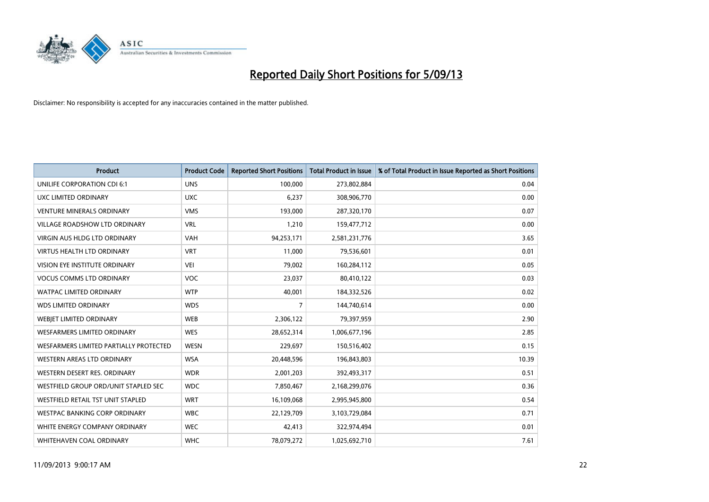

| <b>Product</b>                         | <b>Product Code</b> | <b>Reported Short Positions</b> | <b>Total Product in Issue</b> | % of Total Product in Issue Reported as Short Positions |
|----------------------------------------|---------------------|---------------------------------|-------------------------------|---------------------------------------------------------|
| UNILIFE CORPORATION CDI 6:1            | <b>UNS</b>          | 100,000                         | 273,802,884                   | 0.04                                                    |
| UXC LIMITED ORDINARY                   | <b>UXC</b>          | 6,237                           | 308,906,770                   | 0.00                                                    |
| <b>VENTURE MINERALS ORDINARY</b>       | <b>VMS</b>          | 193,000                         | 287,320,170                   | 0.07                                                    |
| VILLAGE ROADSHOW LTD ORDINARY          | <b>VRL</b>          | 1,210                           | 159,477,712                   | 0.00                                                    |
| <b>VIRGIN AUS HLDG LTD ORDINARY</b>    | <b>VAH</b>          | 94,253,171                      | 2,581,231,776                 | 3.65                                                    |
| <b>VIRTUS HEALTH LTD ORDINARY</b>      | <b>VRT</b>          | 11,000                          | 79,536,601                    | 0.01                                                    |
| VISION EYE INSTITUTE ORDINARY          | <b>VEI</b>          | 79,002                          | 160,284,112                   | 0.05                                                    |
| <b>VOCUS COMMS LTD ORDINARY</b>        | <b>VOC</b>          | 23,037                          | 80,410,122                    | 0.03                                                    |
| <b>WATPAC LIMITED ORDINARY</b>         | <b>WTP</b>          | 40,001                          | 184,332,526                   | 0.02                                                    |
| <b>WDS LIMITED ORDINARY</b>            | <b>WDS</b>          | $\overline{7}$                  | 144,740,614                   | 0.00                                                    |
| WEBIET LIMITED ORDINARY                | <b>WEB</b>          | 2,306,122                       | 79,397,959                    | 2.90                                                    |
| <b>WESFARMERS LIMITED ORDINARY</b>     | <b>WES</b>          | 28,652,314                      | 1,006,677,196                 | 2.85                                                    |
| WESFARMERS LIMITED PARTIALLY PROTECTED | <b>WESN</b>         | 229,697                         | 150,516,402                   | 0.15                                                    |
| <b>WESTERN AREAS LTD ORDINARY</b>      | <b>WSA</b>          | 20,448,596                      | 196,843,803                   | 10.39                                                   |
| WESTERN DESERT RES. ORDINARY           | <b>WDR</b>          | 2,001,203                       | 392,493,317                   | 0.51                                                    |
| WESTFIELD GROUP ORD/UNIT STAPLED SEC   | <b>WDC</b>          | 7,850,467                       | 2,168,299,076                 | 0.36                                                    |
| WESTFIELD RETAIL TST UNIT STAPLED      | <b>WRT</b>          | 16,109,068                      | 2,995,945,800                 | 0.54                                                    |
| WESTPAC BANKING CORP ORDINARY          | <b>WBC</b>          | 22,129,709                      | 3,103,729,084                 | 0.71                                                    |
| WHITE ENERGY COMPANY ORDINARY          | <b>WEC</b>          | 42,413                          | 322,974,494                   | 0.01                                                    |
| WHITEHAVEN COAL ORDINARY               | <b>WHC</b>          | 78,079,272                      | 1,025,692,710                 | 7.61                                                    |